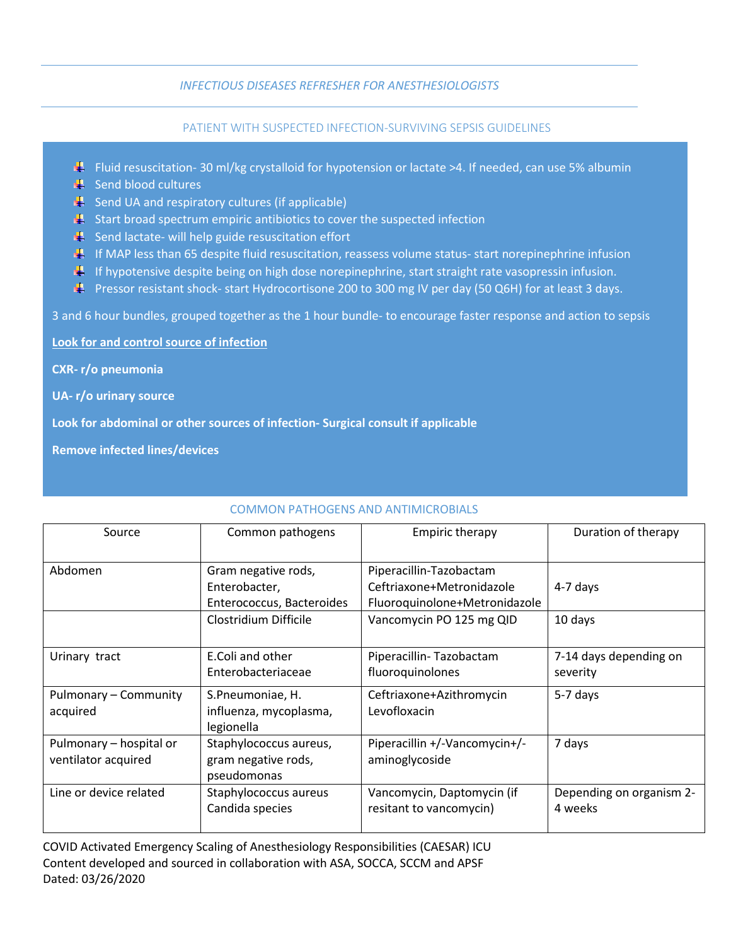## *INFECTIOUS DISEASES REFRESHER FOR ANESTHESIOLOGISTS*

## PATIENT WITH SUSPECTED INFECTION-SURVIVING SEPSIS GUIDELINES

- **Figure 1** Fluid resuscitation- 30 ml/kg crystalloid for hypotension or lactate >4. If needed, can use 5% albumin
- $\blacksquare$  Send blood cultures
- $\frac{1}{2}$  Send UA and respiratory cultures (if applicable)
- $\mathbb{R}$  Start broad spectrum empiric antibiotics to cover the suspected infection
- $\frac{1}{2}$  Send lactate- will help guide resuscitation effort
- If MAP less than 65 despite fluid resuscitation, reassess volume status- start norepinephrine infusion
- If hypotensive despite being on high dose norepinephrine, start straight rate vasopressin infusion.
- **PF** Pressor resistant shock-start Hydrocortisone 200 to 300 mg IV per day (50 Q6H) for at least 3 days.

3 and 6 hour bundles, grouped together as the 1 hour bundle- to encourage faster response and action to sepsis

**Look for and control source of infection**

**CXR- r/o pneumonia**

**UA- r/o urinary source**

**Look for abdominal or other sources of infection- Surgical consult if applicable**

**Remove infected lines/devices**

| Source                                         | Common pathogens                                                  | <b>Empiric therapy</b>                                                                | Duration of therapy                 |
|------------------------------------------------|-------------------------------------------------------------------|---------------------------------------------------------------------------------------|-------------------------------------|
| Abdomen                                        | Gram negative rods,<br>Enterobacter,<br>Enterococcus, Bacteroides | Piperacillin-Tazobactam<br>Ceftriaxone+Metronidazole<br>Fluoroquinolone+Metronidazole | 4-7 days                            |
|                                                | Clostridium Difficile                                             | Vancomycin PO 125 mg QID                                                              | 10 days                             |
| Urinary tract                                  | E.Coli and other<br>Enterobacteriaceae                            | Piperacillin-Tazobactam<br>fluoroquinolones                                           | 7-14 days depending on<br>severity  |
| Pulmonary - Community<br>acquired              | S.Pneumoniae, H.<br>influenza, mycoplasma,<br>legionella          | Ceftriaxone+Azithromycin<br>Levofloxacin                                              | 5-7 days                            |
| Pulmonary - hospital or<br>ventilator acquired | Staphylococcus aureus,<br>gram negative rods,<br>pseudomonas      | Piperacillin +/-Vancomycin+/-<br>aminoglycoside                                       | 7 days                              |
| Line or device related                         | Staphylococcus aureus<br>Candida species                          | Vancomycin, Daptomycin (if<br>resitant to vancomycin)                                 | Depending on organism 2-<br>4 weeks |

## COMMON PATHOGENS AND ANTIMICROBIALS

COVID Activated Emergency Scaling of Anesthesiology Responsibilities (CAESAR) ICU Content developed and sourced in collaboration with ASA, SOCCA, SCCM and APSF Dated: 03/26/2020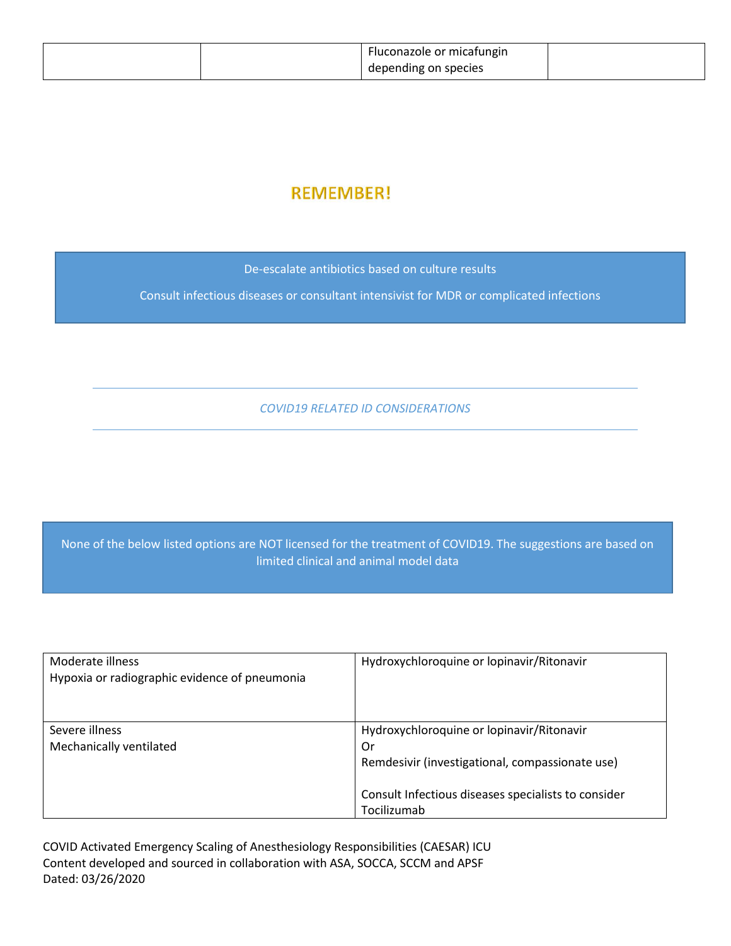|  | Fluconazole or micatungin |  |
|--|---------------------------|--|
|  | depending on species      |  |

## **REMEMBER!**

De-escalate antibiotics based on culture results

Consult infectious diseases or consultant intensivist for MDR or complicated infections

*COVID19 RELATED ID CONSIDERATIONS*

None of the below listed options are NOT licensed for the treatment of COVID19. The suggestions are based on limited clinical and animal model data

| Moderate illness<br>Hypoxia or radiographic evidence of pneumonia | Hydroxychloroquine or lopinavir/Ritonavir                                                                                                                                |
|-------------------------------------------------------------------|--------------------------------------------------------------------------------------------------------------------------------------------------------------------------|
| Severe illness<br>Mechanically ventilated                         | Hydroxychloroquine or lopinavir/Ritonavir<br>Or<br>Remdesivir (investigational, compassionate use)<br>Consult Infectious diseases specialists to consider<br>Tocilizumab |

COVID Activated Emergency Scaling of Anesthesiology Responsibilities (CAESAR) ICU Content developed and sourced in collaboration with ASA, SOCCA, SCCM and APSF Dated: 03/26/2020